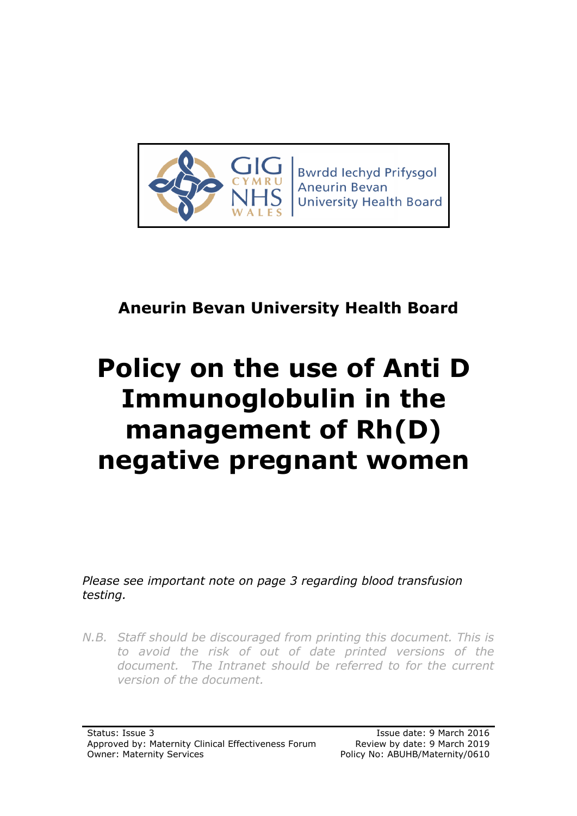

**Bwrdd lechyd Prifysgol Aneurin Bevan University Health Board** 

## **Aneurin Bevan University Health Board**

# **Policy on the use of Anti D Immunoglobulin in the management of Rh(D) negative pregnant women**

*Please see important note on page 3 regarding blood transfusion testing.*

*N.B. Staff should be discouraged from printing this document. This is to avoid the risk of out of date printed versions of the document. The Intranet should be referred to for the current version of the document.*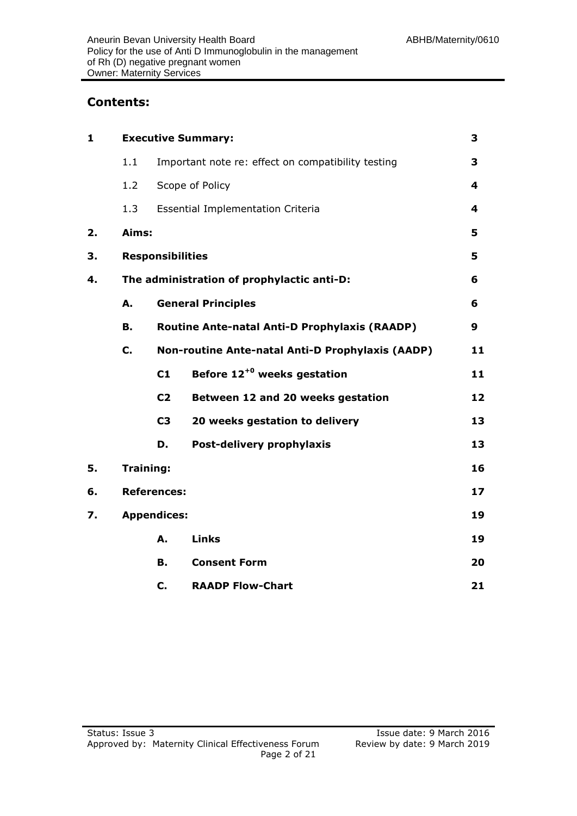#### **Contents:**

| $\mathbf{1}$ | <b>Executive Summary:</b>                  |                                                      |                                                  |    |  |
|--------------|--------------------------------------------|------------------------------------------------------|--------------------------------------------------|----|--|
|              | 1.1                                        | Important note re: effect on compatibility testing   |                                                  | 3  |  |
|              | 1.2                                        |                                                      | Scope of Policy                                  | 4  |  |
|              | 1.3                                        |                                                      | <b>Essential Implementation Criteria</b>         | 4  |  |
| 2.           | Aims:                                      |                                                      |                                                  |    |  |
| 3.           |                                            | <b>Responsibilities</b>                              |                                                  |    |  |
| 4.           | The administration of prophylactic anti-D: |                                                      |                                                  |    |  |
|              | А.                                         | <b>General Principles</b>                            |                                                  | 6  |  |
|              | В.                                         | <b>Routine Ante-natal Anti-D Prophylaxis (RAADP)</b> |                                                  |    |  |
|              | C.                                         |                                                      | Non-routine Ante-natal Anti-D Prophylaxis (AADP) |    |  |
|              |                                            | C1                                                   | Before $12^{+0}$ weeks gestation                 | 11 |  |
|              |                                            | C <sub>2</sub>                                       | Between 12 and 20 weeks gestation                | 12 |  |
|              |                                            | C <sub>3</sub>                                       | 20 weeks gestation to delivery                   | 13 |  |
|              |                                            | D.                                                   | Post-delivery prophylaxis                        | 13 |  |
| 5.           |                                            | <b>Training:</b>                                     |                                                  |    |  |
| 6.           |                                            | <b>References:</b>                                   |                                                  |    |  |
| 7.           | <b>Appendices:</b>                         |                                                      |                                                  | 19 |  |
|              |                                            | А.                                                   | <b>Links</b>                                     | 19 |  |
|              |                                            | В.                                                   | <b>Consent Form</b>                              | 20 |  |
|              |                                            | C.                                                   | <b>RAADP Flow-Chart</b>                          | 21 |  |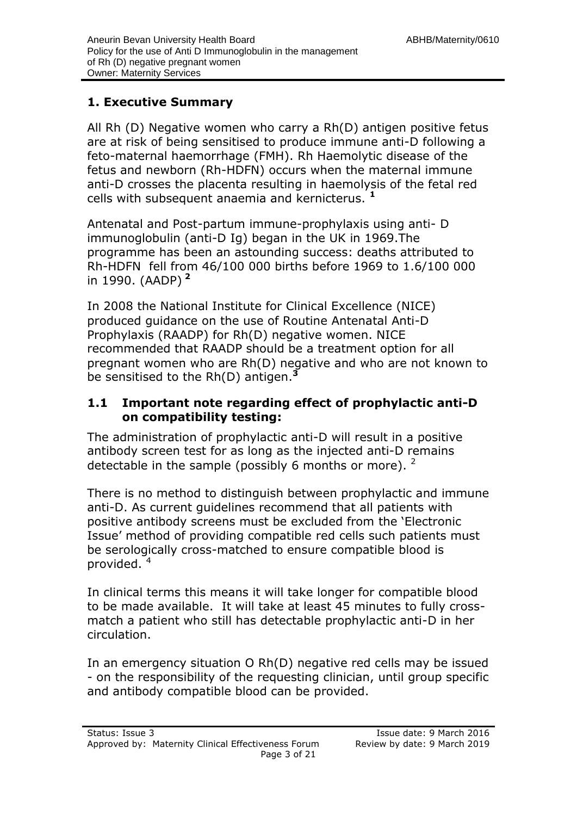#### **1. Executive Summary**

All Rh (D) Negative women who carry a Rh(D) antigen positive fetus are at risk of being sensitised to produce immune anti-D following a feto-maternal haemorrhage (FMH). Rh Haemolytic disease of the fetus and newborn (Rh-HDFN) occurs when the maternal immune anti-D crosses the placenta resulting in haemolysis of the fetal red cells with subsequent anaemia and kernicterus. **<sup>1</sup>**

Antenatal and Post-partum immune-prophylaxis using anti- D immunoglobulin (anti-D Ig) began in the UK in 1969.The programme has been an astounding success: deaths attributed to Rh-HDFN fell from 46/100 000 births before 1969 to 1.6/100 000 in 1990. (AADP) **<sup>2</sup>**

In 2008 the National Institute for Clinical Excellence (NICE) produced guidance on the use of Routine Antenatal Anti-D Prophylaxis (RAADP) for Rh(D) negative women. NICE recommended that RAADP should be a treatment option for all pregnant women who are Rh(D) negative and who are not known to be sensitised to the Rh(D) antigen.**<sup>3</sup>**

#### **1.1 Important note regarding effect of prophylactic anti-D on compatibility testing:**

The administration of prophylactic anti-D will result in a positive antibody screen test for as long as the injected anti-D remains detectable in the sample (possibly 6 months or more).  $2$ 

There is no method to distinguish between prophylactic and immune anti-D. As current guidelines recommend that all patients with positive antibody screens must be excluded from the 'Electronic Issue' method of providing compatible red cells such patients must be serologically cross-matched to ensure compatible blood is provided. <sup>4</sup>

In clinical terms this means it will take longer for compatible blood to be made available. It will take at least 45 minutes to fully crossmatch a patient who still has detectable prophylactic anti-D in her circulation.

In an emergency situation O Rh(D) negative red cells may be issued - on the responsibility of the requesting clinician, until group specific and antibody compatible blood can be provided.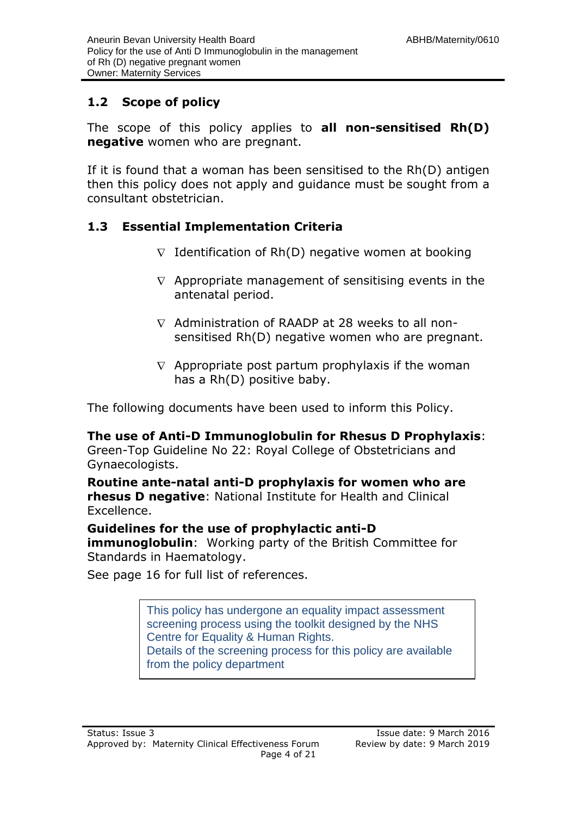#### **1.2 Scope of policy**

The scope of this policy applies to **all non-sensitised Rh(D) negative** women who are pregnant.

If it is found that a woman has been sensitised to the Rh(D) antigen then this policy does not apply and guidance must be sought from a consultant obstetrician.

#### **1.3 Essential Implementation Criteria**

- $\nabla$  Identification of Rh(D) negative women at booking
- $\nabla$  Appropriate management of sensitising events in the antenatal period.
- $\nabla$  Administration of RAADP at 28 weeks to all nonsensitised Rh(D) negative women who are pregnant.
- $\nabla$  Appropriate post partum prophylaxis if the woman has a Rh(D) positive baby.

The following documents have been used to inform this Policy.

#### **The use of Anti-D Immunoglobulin for Rhesus D Prophylaxis**:

Green-Top Guideline No 22: Royal College of Obstetricians and Gynaecologists.

**Routine ante-natal anti-D prophylaxis for women who are rhesus D negative**: National Institute for Health and Clinical Excellence.

#### **Guidelines for the use of prophylactic anti-D**

**immunoglobulin**: Working party of the British Committee for Standards in Haematology.

See page 16 for full list of references.

This policy has undergone an equality impact assessment screening process using the toolkit designed by the NHS Centre for Equality & Human Rights. Details of the screening process for this policy are available

from the policy department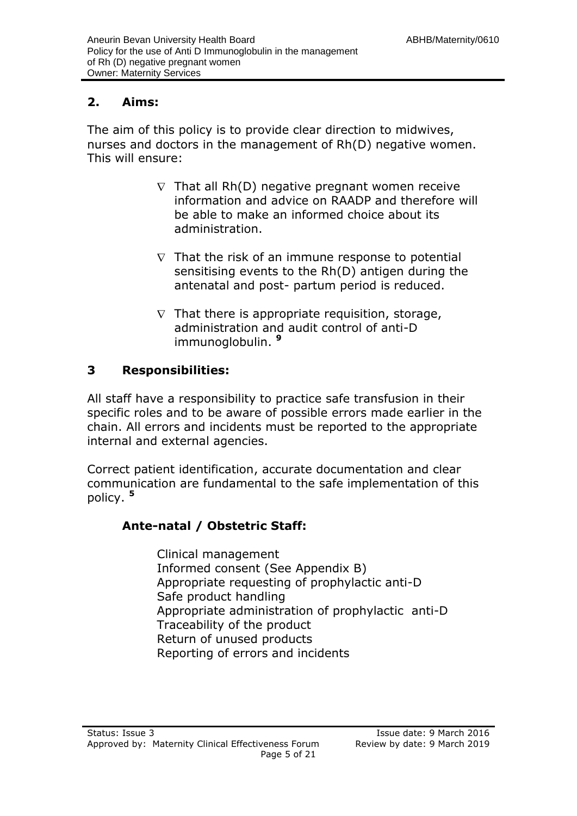### **2. Aims:**

The aim of this policy is to provide clear direction to midwives, nurses and doctors in the management of Rh(D) negative women. This will ensure:

- $\nabla$  That all Rh(D) negative pregnant women receive information and advice on RAADP and therefore will be able to make an informed choice about its administration.
- $\nabla$  That the risk of an immune response to potential sensitising events to the Rh(D) antigen during the antenatal and post- partum period is reduced.
- $\nabla$  That there is appropriate requisition, storage, administration and audit control of anti-D immunoglobulin. **<sup>9</sup>**

#### **3 Responsibilities:**

All staff have a responsibility to practice safe transfusion in their specific roles and to be aware of possible errors made earlier in the chain. All errors and incidents must be reported to the appropriate internal and external agencies.

Correct patient identification, accurate documentation and clear communication are fundamental to the safe implementation of this policy. **<sup>5</sup>**

#### **Ante-natal / Obstetric Staff:**

Clinical management Informed consent (See Appendix B) Appropriate requesting of prophylactic anti-D Safe product handling Appropriate administration of prophylactic anti-D Traceability of the product Return of unused products Reporting of errors and incidents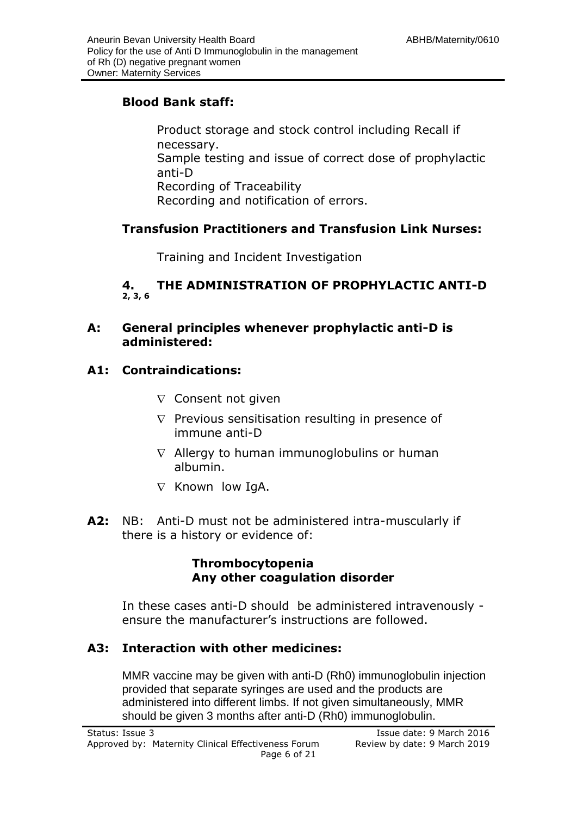#### **Blood Bank staff:**

Product storage and stock control including Recall if necessary. Sample testing and issue of correct dose of prophylactic anti-D Recording of Traceability Recording and notification of errors.

#### **Transfusion Practitioners and Transfusion Link Nurses:**

Training and Incident Investigation

#### **4. THE ADMINISTRATION OF PROPHYLACTIC ANTI-D 2, 3, 6**

#### **A: General principles whenever prophylactic anti-D is administered:**

#### **A1: Contraindications:**

- $\nabla$  Consent not given
- $\nabla$  Previous sensitisation resulting in presence of immune anti-D
- $\nabla$  Allergy to human immunoglobulins or human albumin.
- $\nabla$  Known low IgA.
- **A2:** NB: Anti-D must not be administered intra-muscularly if there is a history or evidence of:

#### **Thrombocytopenia Any other coagulation disorder**

In these cases anti-D should be administered intravenously ensure the manufacturer's instructions are followed.

#### **A3: Interaction with other medicines:**

MMR vaccine may be given with anti-D (Rh0) immunoglobulin injection provided that separate syringes are used and the products are administered into different limbs. If not given simultaneously, MMR should be given 3 months after anti-D (Rh0) immunoglobulin.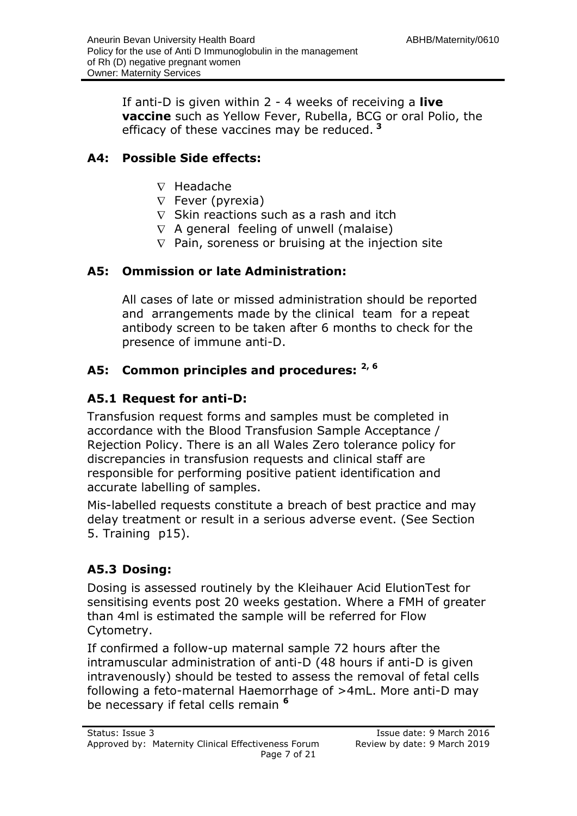If anti-D is given within 2 - 4 weeks of receiving a **live vaccine** such as Yellow Fever, Rubella, BCG or oral Polio, the efficacy of these vaccines may be reduced. **<sup>3</sup>**

#### **A4: Possible Side effects:**

- $\nabla$  Headache
- $\nabla$  Fever (pyrexia)
- $\nabla$  Skin reactions such as a rash and itch
- $\nabla$  A general feeling of unwell (malaise)
- $\nabla$  Pain, soreness or bruising at the injection site

#### **A5: Ommission or late Administration:**

All cases of late or missed administration should be reported and arrangements made by the clinical team for a repeat antibody screen to be taken after 6 months to check for the presence of immune anti-D.

### **A5: Common principles and procedures: 2, 6**

#### **A5.1 Request for anti-D:**

Transfusion request forms and samples must be completed in accordance with the Blood Transfusion Sample Acceptance / Rejection Policy. There is an all Wales Zero tolerance policy for discrepancies in transfusion requests and clinical staff are responsible for performing positive patient identification and accurate labelling of samples.

Mis-labelled requests constitute a breach of best practice and may delay treatment or result in a serious adverse event. (See Section 5. Training p15).

#### **A5.3 Dosing:**

Dosing is assessed routinely by the Kleihauer Acid ElutionTest for sensitising events post 20 weeks gestation. Where a FMH of greater than 4ml is estimated the sample will be referred for Flow Cytometry.

If confirmed a follow-up maternal sample 72 hours after the intramuscular administration of anti-D (48 hours if anti-D is given intravenously) should be tested to assess the removal of fetal cells following a feto-maternal Haemorrhage of >4mL. More anti-D may be necessary if fetal cells remain **<sup>6</sup>**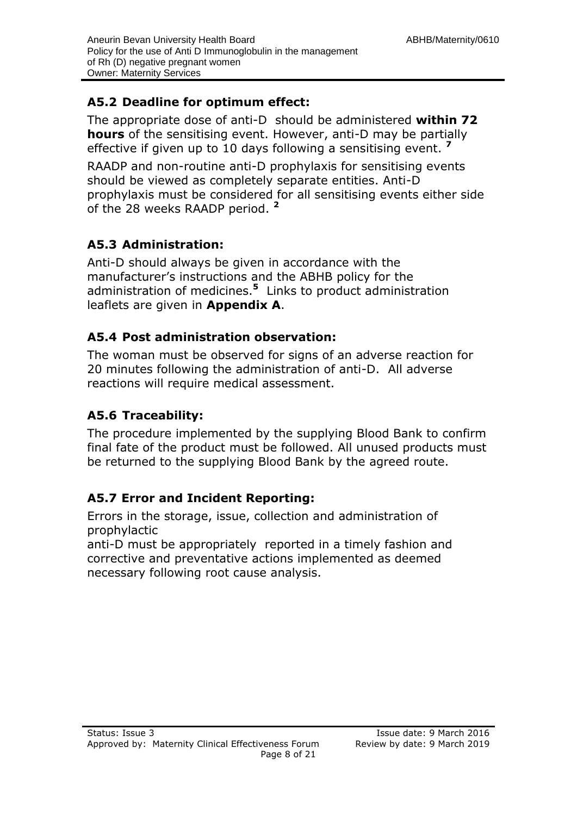#### **A5.2 Deadline for optimum effect:**

The appropriate dose of anti-D should be administered **within 72 hours** of the sensitising event. However, anti-D may be partially effective if given up to 10 days following a sensitising event. **<sup>7</sup>**

RAADP and non-routine anti-D prophylaxis for sensitising events should be viewed as completely separate entities. Anti-D prophylaxis must be considered for all sensitising events either side of the 28 weeks RAADP period. **<sup>2</sup>**

#### **A5.3 Administration:**

Anti-D should always be given in accordance with the manufacturer's instructions and the ABHB policy for the administration of medicines.**<sup>5</sup>** Links to product administration leaflets are given in **Appendix A**.

#### **A5.4 Post administration observation:**

The woman must be observed for signs of an adverse reaction for 20 minutes following the administration of anti-D. All adverse reactions will require medical assessment.

#### **A5.6 Traceability:**

The procedure implemented by the supplying Blood Bank to confirm final fate of the product must be followed. All unused products must be returned to the supplying Blood Bank by the agreed route.

#### **A5.7 Error and Incident Reporting:**

Errors in the storage, issue, collection and administration of prophylactic

anti-D must be appropriately reported in a timely fashion and corrective and preventative actions implemented as deemed necessary following root cause analysis.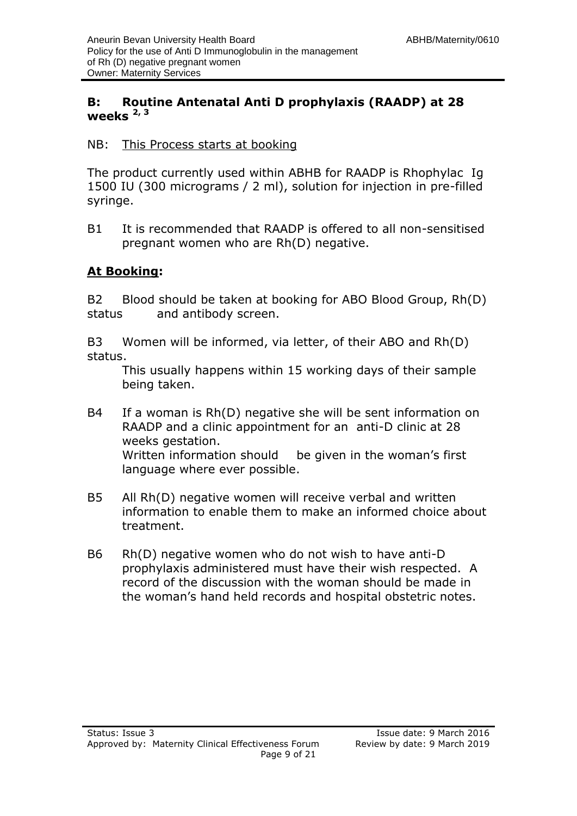#### **B: Routine Antenatal Anti D prophylaxis (RAADP) at 28 weeks 2, 3**

#### NB: This Process starts at booking

The product currently used within ABHB for RAADP is Rhophylac Ig 1500 IU (300 micrograms / 2 ml), solution for injection in pre-filled syringe.

B1 It is recommended that RAADP is offered to all non-sensitised pregnant women who are Rh(D) negative.

#### **At Booking:**

B2 Blood should be taken at booking for ABO Blood Group, Rh(D) status and antibody screen.

B3 Women will be informed, via letter, of their ABO and Rh(D) status.

This usually happens within 15 working days of their sample being taken.

- B4 If a woman is Rh(D) negative she will be sent information on RAADP and a clinic appointment for an anti-D clinic at 28 weeks gestation. Written information should be given in the woman's first language where ever possible.
- B5 All Rh(D) negative women will receive verbal and written information to enable them to make an informed choice about treatment.
- B6 Rh(D) negative women who do not wish to have anti-D prophylaxis administered must have their wish respected. A record of the discussion with the woman should be made in the woman's hand held records and hospital obstetric notes.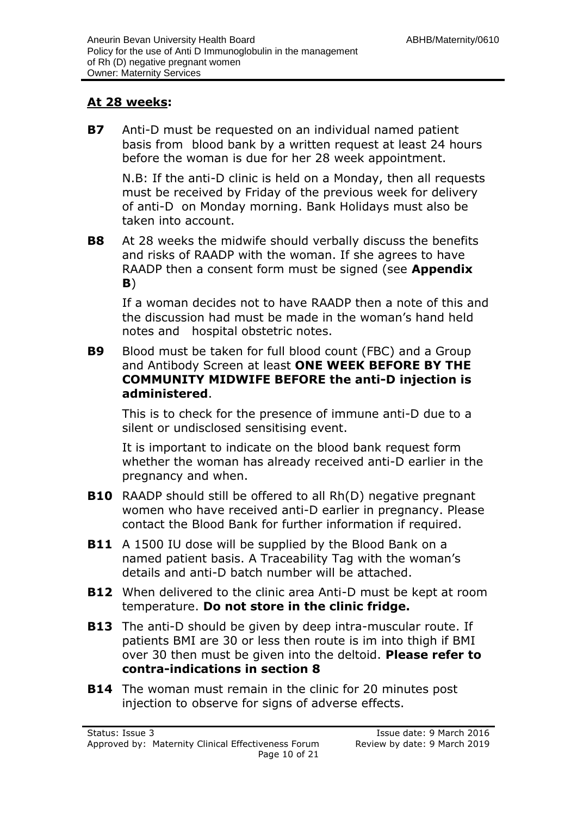#### **At 28 weeks:**

**B7** Anti-D must be requested on an individual named patient basis from blood bank by a written request at least 24 hours before the woman is due for her 28 week appointment.

N.B: If the anti-D clinic is held on a Monday, then all requests must be received by Friday of the previous week for delivery of anti-D on Monday morning. Bank Holidays must also be taken into account.

**B8** At 28 weeks the midwife should verbally discuss the benefits and risks of RAADP with the woman. If she agrees to have RAADP then a consent form must be signed (see **Appendix B**)

If a woman decides not to have RAADP then a note of this and the discussion had must be made in the woman's hand held notes and hospital obstetric notes.

**B9** Blood must be taken for full blood count (FBC) and a Group and Antibody Screen at least **ONE WEEK BEFORE BY THE COMMUNITY MIDWIFE BEFORE the anti-D injection is administered**.

This is to check for the presence of immune anti-D due to a silent or undisclosed sensitising event.

It is important to indicate on the blood bank request form whether the woman has already received anti-D earlier in the pregnancy and when.

- **B10** RAADP should still be offered to all Rh(D) negative pregnant women who have received anti-D earlier in pregnancy. Please contact the Blood Bank for further information if required.
- **B11** A 1500 IU dose will be supplied by the Blood Bank on a named patient basis. A Traceability Tag with the woman's details and anti-D batch number will be attached.
- **B12** When delivered to the clinic area Anti-D must be kept at room temperature. **Do not store in the clinic fridge.**
- **B13** The anti-D should be given by deep intra-muscular route. If patients BMI are 30 or less then route is im into thigh if BMI over 30 then must be given into the deltoid. **Please refer to contra-indications in section 8**
- **B14** The woman must remain in the clinic for 20 minutes post injection to observe for signs of adverse effects.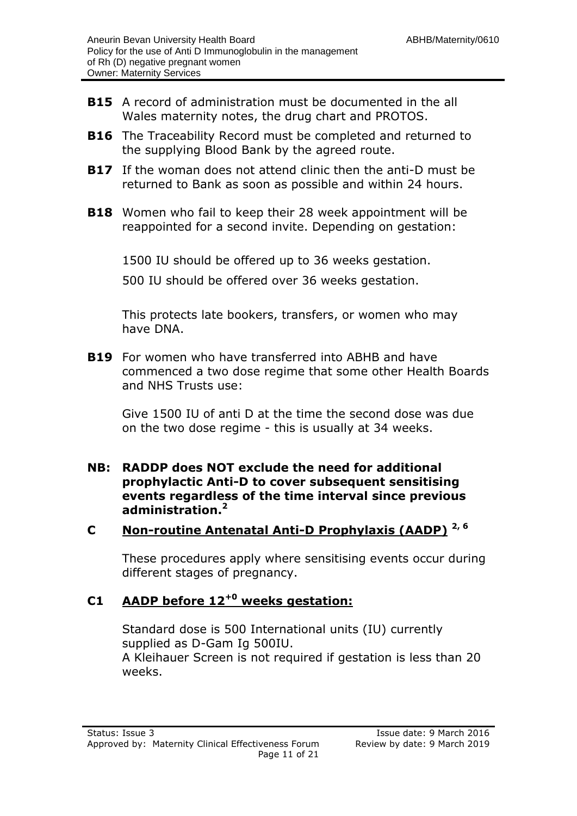- **B15** A record of administration must be documented in the all Wales maternity notes, the drug chart and PROTOS.
- **B16** The Traceability Record must be completed and returned to the supplying Blood Bank by the agreed route.
- **B17** If the woman does not attend clinic then the anti-D must be returned to Bank as soon as possible and within 24 hours.
- **B18** Women who fail to keep their 28 week appointment will be reappointed for a second invite. Depending on gestation:

1500 IU should be offered up to 36 weeks gestation.

500 IU should be offered over 36 weeks gestation.

This protects late bookers, transfers, or women who may have DNA.

**B19** For women who have transferred into ABHB and have commenced a two dose regime that some other Health Boards and NHS Trusts use:

Give 1500 IU of anti D at the time the second dose was due on the two dose regime - this is usually at 34 weeks.

**NB: RADDP does NOT exclude the need for additional prophylactic Anti-D to cover subsequent sensitising events regardless of the time interval since previous administration.<sup>2</sup>**

#### **C Non-routine Antenatal Anti-D Prophylaxis (AADP) 2, 6**

These procedures apply where sensitising events occur during different stages of pregnancy.

### **C1 AADP before 12+0 weeks gestation:**

Standard dose is 500 International units (IU) currently supplied as D-Gam Ig 500IU. A Kleihauer Screen is not required if gestation is less than 20 weeks.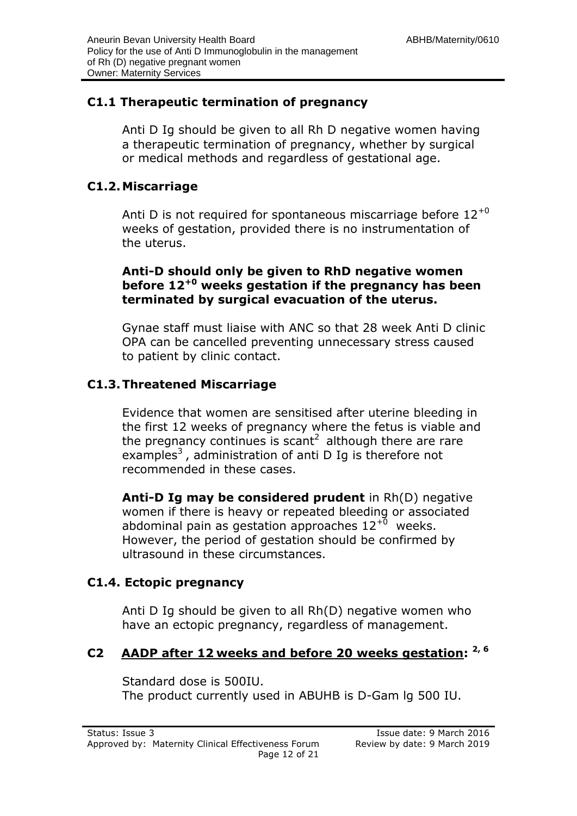#### **C1.1 Therapeutic termination of pregnancy**

Anti D Ig should be given to all Rh D negative women having a therapeutic termination of pregnancy, whether by surgical or medical methods and regardless of gestational age.

#### **C1.2.Miscarriage**

Anti D is not required for spontaneous miscarriage before  $12^{+0}$ weeks of gestation, provided there is no instrumentation of the uterus.

#### **Anti-D should only be given to RhD negative women before 12+0 weeks gestation if the pregnancy has been terminated by surgical evacuation of the uterus.**

Gynae staff must liaise with ANC so that 28 week Anti D clinic OPA can be cancelled preventing unnecessary stress caused to patient by clinic contact.

#### **C1.3.Threatened Miscarriage**

Evidence that women are sensitised after uterine bleeding in the first 12 weeks of pregnancy where the fetus is viable and the pregnancy continues is scant<sup>2</sup> although there are rare examples<sup>3</sup>, administration of anti D Ig is therefore not recommended in these cases.

**Anti-D Ig may be considered prudent** in Rh(D) negative women if there is heavy or repeated bleeding or associated abdominal pain as gestation approaches  $12^{+0}$  weeks. However, the period of gestation should be confirmed by ultrasound in these circumstances.

#### **C1.4. Ectopic pregnancy**

Anti D Ig should be given to all Rh(D) negative women who have an ectopic pregnancy, regardless of management.

#### **C2 AADP after 12 weeks and before 20 weeks gestation: 2, 6**

Standard dose is 500IU. The product currently used in ABUHB is D-Gam lg 500 IU.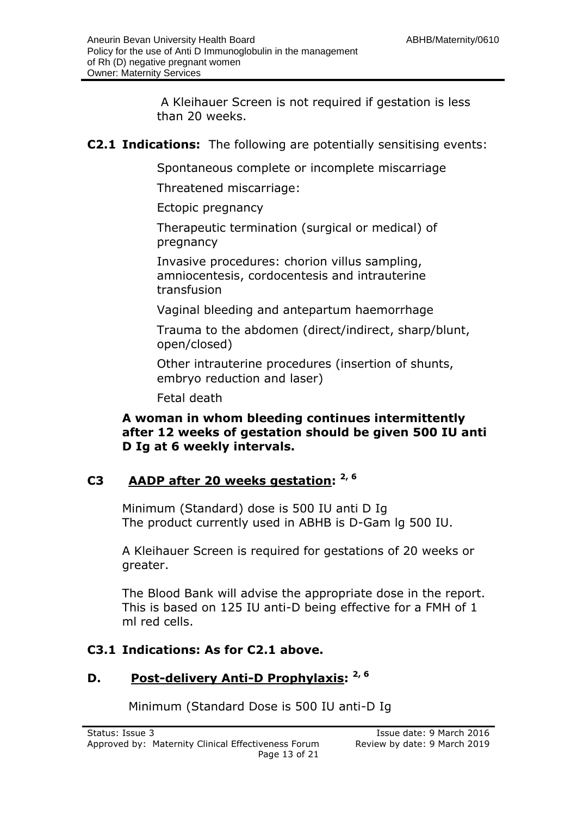A Kleihauer Screen is not required if gestation is less than 20 weeks.

#### **C2.1 Indications:** The following are potentially sensitising events:

Spontaneous complete or incomplete miscarriage

Threatened miscarriage:

Ectopic pregnancy

Therapeutic termination (surgical or medical) of pregnancy

Invasive procedures: chorion villus sampling, amniocentesis, cordocentesis and intrauterine transfusion

Vaginal bleeding and antepartum haemorrhage

Trauma to the abdomen (direct/indirect, sharp/blunt, open/closed)

Other intrauterine procedures (insertion of shunts, embryo reduction and laser)

Fetal death

**A woman in whom bleeding continues intermittently after 12 weeks of gestation should be given 500 IU anti D Ig at 6 weekly intervals.**

#### **C3 AADP after 20 weeks gestation: 2, 6**

Minimum (Standard) dose is 500 IU anti D Ig The product currently used in ABHB is D-Gam lg 500 IU.

A Kleihauer Screen is required for gestations of 20 weeks or greater.

The Blood Bank will advise the appropriate dose in the report. This is based on 125 IU anti-D being effective for a FMH of 1 ml red cells.

#### **C3.1 Indications: As for C2.1 above.**

#### **D. Post-delivery Anti-D Prophylaxis: 2, 6**

Minimum (Standard Dose is 500 IU anti-D Ig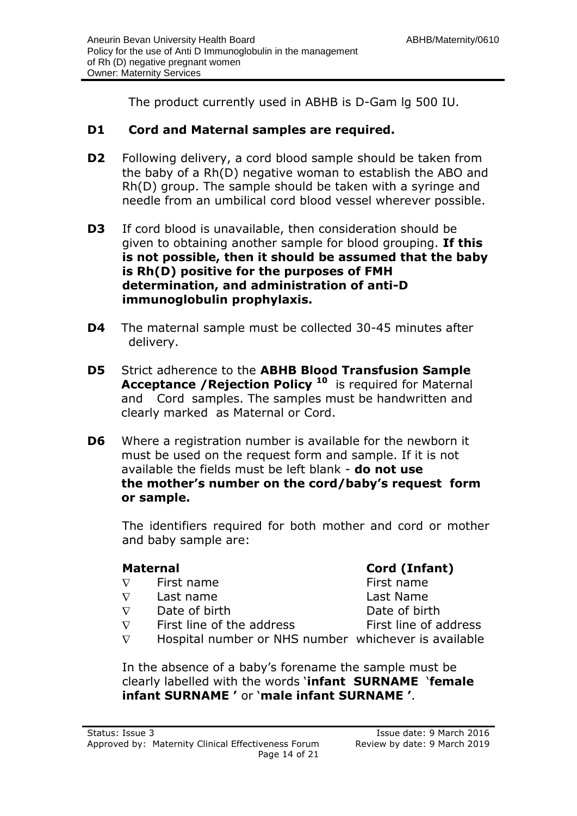The product currently used in ABHB is D-Gam lg 500 IU.

#### **D1 Cord and Maternal samples are required.**

- **D2** Following delivery, a cord blood sample should be taken from the baby of a Rh(D) negative woman to establish the ABO and Rh(D) group. The sample should be taken with a syringe and needle from an umbilical cord blood vessel wherever possible.
- **D3** If cord blood is unavailable, then consideration should be given to obtaining another sample for blood grouping. **If this is not possible, then it should be assumed that the baby is Rh(D) positive for the purposes of FMH determination, and administration of anti-D immunoglobulin prophylaxis.**
- **D4** The maternal sample must be collected 30-45 minutes after delivery.
- **D5** Strict adherence to the **ABHB Blood Transfusion Sample Acceptance /Rejection Policy <sup>10</sup>** is required for Maternal and Cord samples. The samples must be handwritten and clearly marked as Maternal or Cord.
- **D6** Where a registration number is available for the newborn it must be used on the request form and sample. If it is not available the fields must be left blank - **do not use the mother's number on the cord/baby's request form or sample.**

The identifiers required for both mother and cord or mother and baby sample are:

 $\nabla$ 

- $\nabla$
- $\nabla$
- $\nabla$

#### **Maternal Cord (Infant)**

First name First name Last name Last Name Date of birth Date of birth First line of the address First line of address

 $\nabla$ Hospital number or NHS number whichever is available

In the absence of a baby's forename the sample must be clearly labelled with the words '**infant SURNAME** '**female infant SURNAME '** or '**male infant SURNAME '**.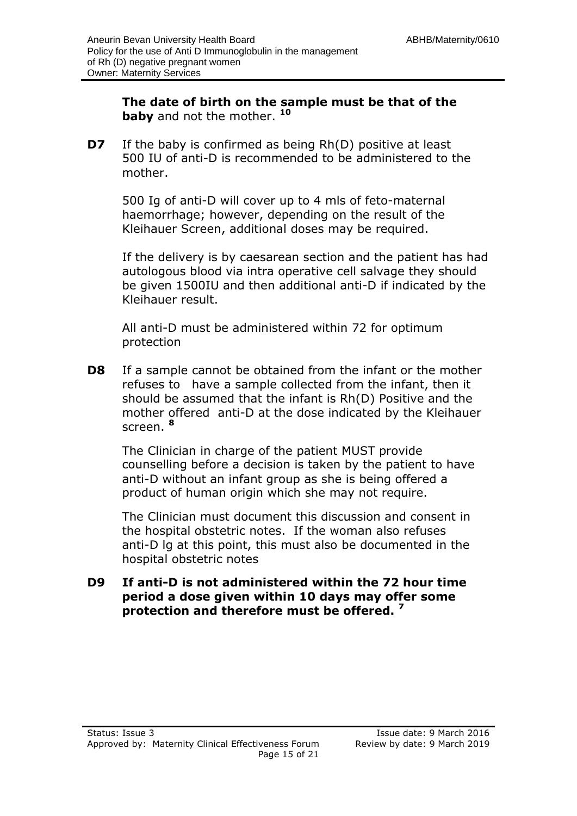**The date of birth on the sample must be that of the baby** and not the mother. **<sup>10</sup>**

**D7** If the baby is confirmed as being Rh(D) positive at least 500 IU of anti-D is recommended to be administered to the mother.

500 Ig of anti-D will cover up to 4 mls of feto-maternal haemorrhage; however, depending on the result of the Kleihauer Screen, additional doses may be required.

If the delivery is by caesarean section and the patient has had autologous blood via intra operative cell salvage they should be given 1500IU and then additional anti-D if indicated by the Kleihauer result.

All anti-D must be administered within 72 for optimum protection

**D8** If a sample cannot be obtained from the infant or the mother refuses to have a sample collected from the infant, then it should be assumed that the infant is Rh(D) Positive and the mother offered anti-D at the dose indicated by the Kleihauer screen. **<sup>8</sup>**

The Clinician in charge of the patient MUST provide counselling before a decision is taken by the patient to have anti-D without an infant group as she is being offered a product of human origin which she may not require.

The Clinician must document this discussion and consent in the hospital obstetric notes. If the woman also refuses anti-D lg at this point, this must also be documented in the hospital obstetric notes

**D9 If anti-D is not administered within the 72 hour time period a dose given within 10 days may offer some protection and therefore must be offered. <sup>7</sup>**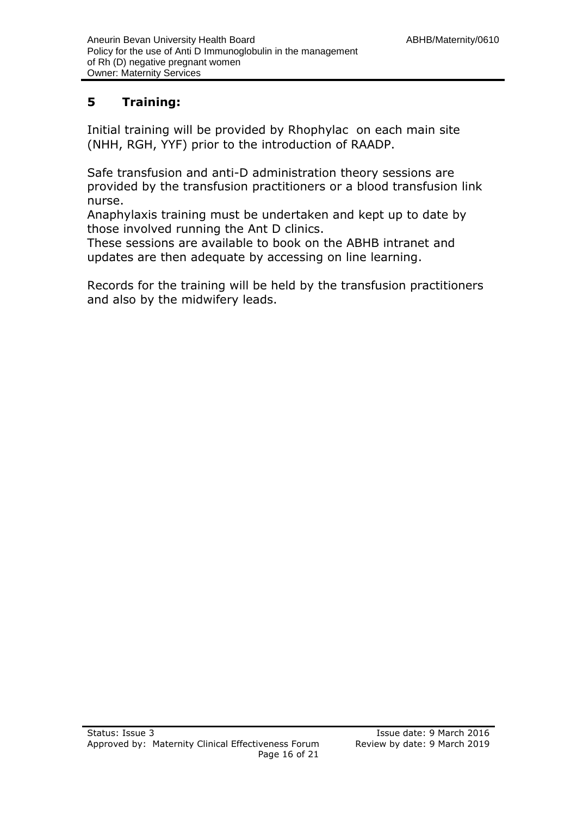#### **5 Training:**

Initial training will be provided by Rhophylac on each main site (NHH, RGH, YYF) prior to the introduction of RAADP.

Safe transfusion and anti-D administration theory sessions are provided by the transfusion practitioners or a blood transfusion link nurse.

Anaphylaxis training must be undertaken and kept up to date by those involved running the Ant D clinics.

These sessions are available to book on the ABHB intranet and updates are then adequate by accessing on line learning.

Records for the training will be held by the transfusion practitioners and also by the midwifery leads.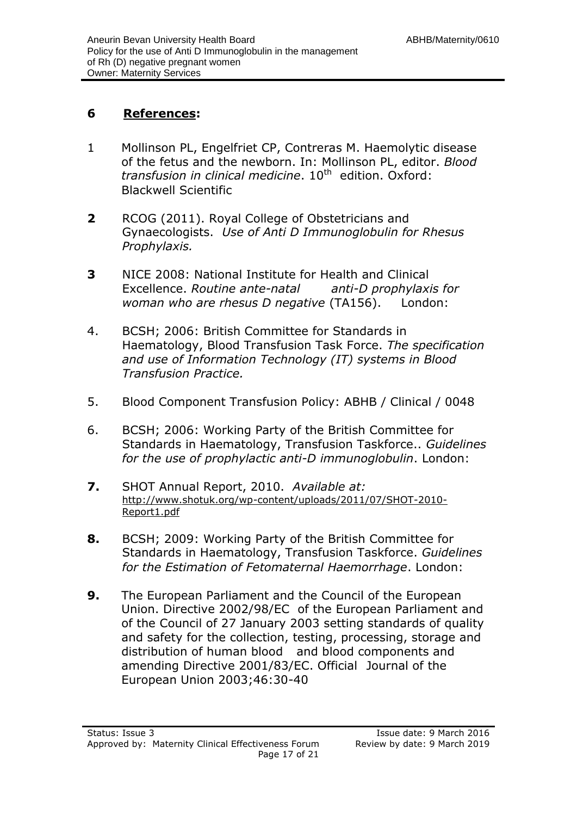#### **6 References:**

- 1 Mollinson PL, Engelfriet CP, Contreras M. Haemolytic disease of the fetus and the newborn. In: Mollinson PL, editor. *Blood transfusion in clinical medicine*. 10<sup>th</sup> edition. Oxford: Blackwell Scientific
- **2** RCOG (2011). Royal College of Obstetricians and Gynaecologists. *Use of Anti D Immunoglobulin for Rhesus Prophylaxis.*
- **3** NICE 2008: National Institute for Health and Clinical Excellence. *Routine ante-natal anti-D prophylaxis for woman who are rhesus D negative* (TA156). London:
- 4. BCSH; 2006: British Committee for Standards in Haematology, Blood Transfusion Task Force. *The specification and use of Information Technology (IT) systems in Blood Transfusion Practice.*
- 5. Blood Component Transfusion Policy: ABHB / Clinical / 0048
- 6. BCSH; 2006: Working Party of the British Committee for Standards in Haematology, Transfusion Taskforce.. *Guidelines for the use of prophylactic anti-D immunoglobulin*. London:
- **7.** SHOT Annual Report, 2010. *Available at:* [http://www.shotuk.org/wp-content/uploads/2011/07/SHOT-2010-](http://www.shotuk.org/wp-content/uploads/2011/07/SHOT-2010-Report1.pdf) [Report1.pdf](http://www.shotuk.org/wp-content/uploads/2011/07/SHOT-2010-Report1.pdf)
- **8.** BCSH; 2009: Working Party of the British Committee for Standards in Haematology, Transfusion Taskforce. *Guidelines for the Estimation of Fetomaternal Haemorrhage*. London:
- **9.** The European Parliament and the Council of the European Union. Directive 2002/98/EC of the European Parliament and of the Council of 27 January 2003 setting standards of quality and safety for the collection, testing, processing, storage and distribution of human blood and blood components and amending Directive 2001/83/EC. Official Journal of the European Union 2003;46:30-40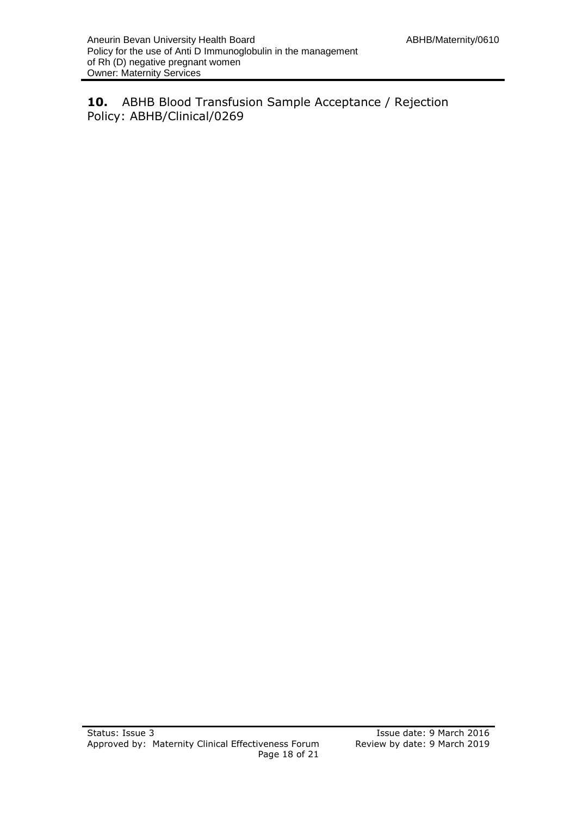**10.** ABHB Blood Transfusion Sample Acceptance / Rejection Policy: ABHB/Clinical/0269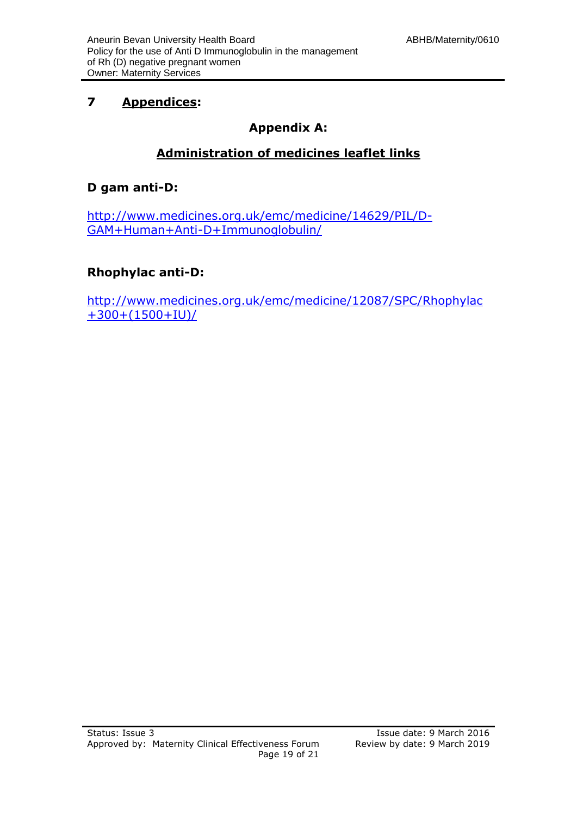#### **7 Appendices:**

#### **Appendix A:**

#### **Administration of medicines leaflet links**

#### **D gam anti-D:**

[http://www.medicines.org.uk/emc/medicine/14629/PIL/D-](http://www.medicines.org.uk/emc/medicine/14629/PIL/D-GAM+Human+Anti-D+Immunoglobulin/)[GAM+Human+Anti-D+Immunoglobulin/](http://www.medicines.org.uk/emc/medicine/14629/PIL/D-GAM+Human+Anti-D+Immunoglobulin/)

#### **Rhophylac anti-D:**

[http://www.medicines.org.uk/emc/medicine/12087/SPC/Rhophylac](http://www.medicines.org.uk/emc/medicine/12087/SPC/Rhophylac+300+(1500+IU)/) [+300+\(1500+IU\)/](http://www.medicines.org.uk/emc/medicine/12087/SPC/Rhophylac+300+(1500+IU)/)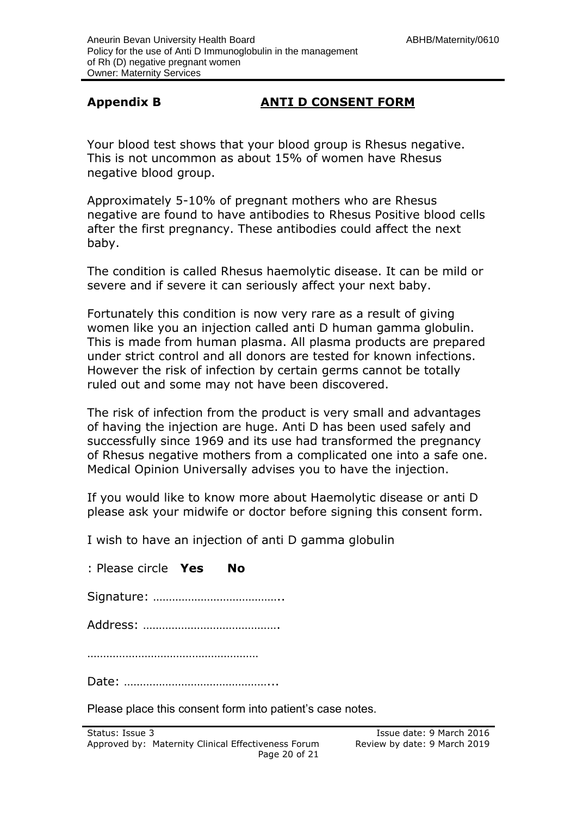#### **Appendix B ANTI D CONSENT FORM**

Your blood test shows that your blood group is Rhesus negative. This is not uncommon as about 15% of women have Rhesus negative blood group.

Approximately 5-10% of pregnant mothers who are Rhesus negative are found to have antibodies to Rhesus Positive blood cells after the first pregnancy. These antibodies could affect the next baby.

The condition is called Rhesus haemolytic disease. It can be mild or severe and if severe it can seriously affect your next baby.

Fortunately this condition is now very rare as a result of giving women like you an injection called anti D human gamma globulin. This is made from human plasma. All plasma products are prepared under strict control and all donors are tested for known infections. However the risk of infection by certain germs cannot be totally ruled out and some may not have been discovered.

The risk of infection from the product is very small and advantages of having the injection are huge. Anti D has been used safely and successfully since 1969 and its use had transformed the pregnancy of Rhesus negative mothers from a complicated one into a safe one. Medical Opinion Universally advises you to have the injection.

If you would like to know more about Haemolytic disease or anti D please ask your midwife or doctor before signing this consent form.

I wish to have an injection of anti D gamma globulin

| : Please circle Yes No |  |
|------------------------|--|
|                        |  |
|                        |  |
|                        |  |
|                        |  |

Please place this consent form into patient's case notes.